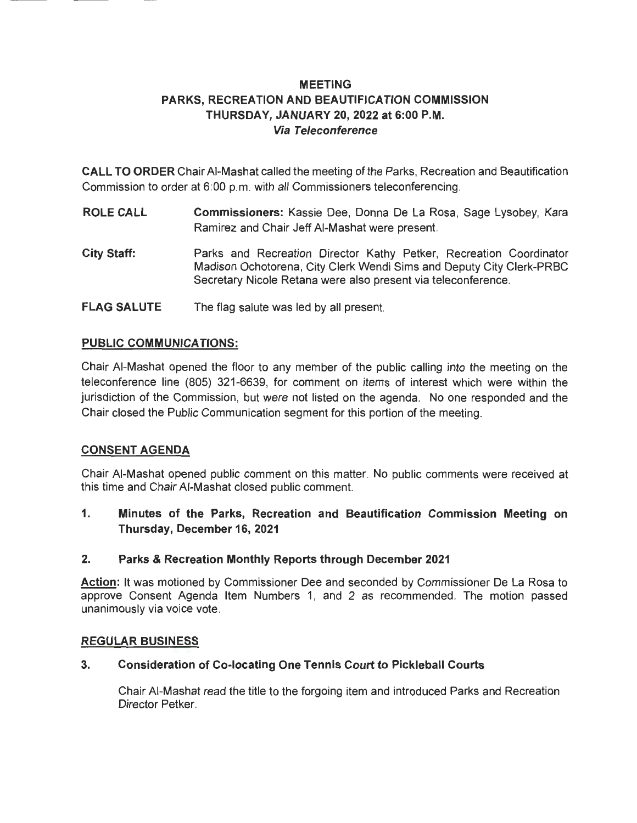# **MEETING PARKS, RECREATION AND BEAUTIFICATION COMMISSION THURSDAY, JANUARY 20, 2022 at 6:00 P.M. Via Teleconference**

**CALL TO ORDER** Chair AI-Mashat called the meeting of the Parks, Recreation and Beautification Commission to order at 6:00 p.m. with all Commissioners teleconferencing.

- **ROLE CALL Commissioners:** Kassie Dee, Donna De La Rosa, Sage Lysobey, Kara Ramirez and Chair Jeff AI-Mashat were present.
- **City Staff:**  Parks and Recreation Director Kathy Petker, Recreation Coordinator Madison Ochotorena, City Clerk Wendi Sims and Deputy City Clerk-PRBC Secretary Nicole Retana were also present via teleconference.
- **FLAG SALUTE**  The flag salute was led by all present.

### **PUBLIC COMMUNICATIONS:**

Chair AI-Mashat opened the floor to any member of the public calling into the meeting on the teleconference line (805) 321-6639, for comment on items of interest which were within the jurisdiction of the Commission, but were not listed on the agenda. No one responded and the Chair closed the Public Communication segment for this portion of the meeting.

### **CONSENT AGENDA**

Chair AI-Mashat opened public comment on this matter. No public comments were received at this time and Chair AI-Mashat closed public comment.

**1. Minutes of the Parks, Recreation and Beautification Commission Meeting on Thursday, December 16, 2021** 

### **2. Parks & Recreation Monthly Reports through December 2021**

**Action:** It was motioned by Commissioner Dee and seconded by Commissioner De La Rosa to approve Consent Agenda Item Numbers 1, and 2 as recommended. The motion passed unanimously via voice vote.

### **REGULAR BUSINESS**

### **3. Consideration of Co-locating One Tennis Court to Pickleball Courts**

Chair AI-Mashat read the title to the forgoing item and introduced Parks and Recreation Director Petker.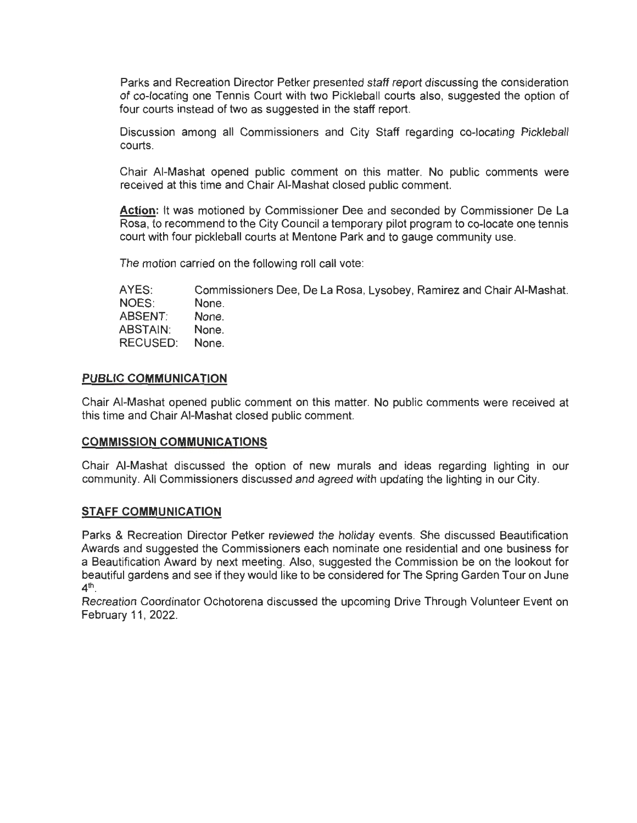Parks and Recreation Director Petker presented staff report discussing the consideration of co-locating one Tennis Court with two Pickleball courts also, suggested the option of four courts instead of two as suggested in the staff report.

Discussion among all Commissioners and City Staff regarding co-locating Pickleball courts.

Chair AI-Mashat opened public comment on this matter. No public comments were received at this time and Chair AI-Mashat closed public comment.

**Action:** It was motioned by Commissioner Dee and seconded by Commissioner De La Rosa, to recommend to the City Council a temporary pilot program to co-locate one tennis court with four pickleball courts at Mentone Park and to gauge community use.

The motion carried on the following roll call vote:

AYES: NOES: ABSENT: ABSTAIN: RECUSED: Commissioners Dee, De La Rosa, Lysobey, Ramirez and Chair AI-Mashat. None. None. None. None.

#### **PUBLIC COMMUNICATION**

Chair AI-Mashat opened public comment on this matter. No public comments were received at this time and Chair AI-Mashat closed public comment.

### **COMMISSION COMMUNICATIONS**

Chair AI-Mashat discussed the option of new murals and ideas regarding lighting in our community. All Commissioners discussed and agreed with updating the lighting in our City.

### **STAFF COMMUNICATION**

Parks & Recreation Director Petker reviewed the holiday events. She discussed Beautification Awards and suggested the Commissioners each nominate one residential and one business for a Beautification Award by next meeting. Also, suggested the Commission be on the lookout for beautiful gardens and see if they would like to be considered for The Spring Garden Tour on June  $4^{\text{th}}$ 

Recreation Coordinator Ochotorena discussed the upcoming Drive Through Volunteer Event on February 11, 2022.